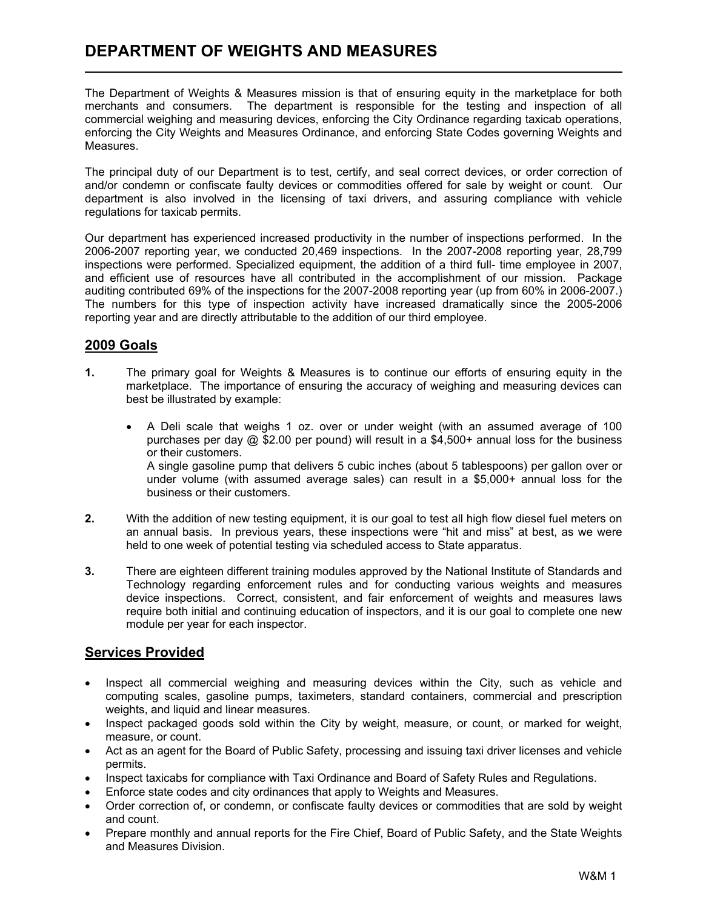The Department of Weights & Measures mission is that of ensuring equity in the marketplace for both merchants and consumers. The department is responsible for the testing and inspection of all commercial weighing and measuring devices, enforcing the City Ordinance regarding taxicab operations, enforcing the City Weights and Measures Ordinance, and enforcing State Codes governing Weights and Measures.

The principal duty of our Department is to test, certify, and seal correct devices, or order correction of and/or condemn or confiscate faulty devices or commodities offered for sale by weight or count. Our department is also involved in the licensing of taxi drivers, and assuring compliance with vehicle regulations for taxicab permits.

Our department has experienced increased productivity in the number of inspections performed. In the 2006-2007 reporting year, we conducted 20,469 inspections. In the 2007-2008 reporting year, 28,799 inspections were performed. Specialized equipment, the addition of a third full- time employee in 2007, and efficient use of resources have all contributed in the accomplishment of our mission. Package auditing contributed 69% of the inspections for the 2007-2008 reporting year (up from 60% in 2006-2007.) The numbers for this type of inspection activity have increased dramatically since the 2005-2006 reporting year and are directly attributable to the addition of our third employee.

### 2009 Goals

- 1. The primary goal for Weights & Measures is to continue our efforts of ensuring equity in the marketplace. The importance of ensuring the accuracy of weighing and measuring devices can best be illustrated by example:
	- A Deli scale that weighs 1 oz. over or under weight (with an assumed average of 100 purchases per day @ \$2.00 per pound) will result in a \$4,500+ annual loss for the business or their customers. A single gasoline pump that delivers 5 cubic inches (about 5 tablespoons) per gallon over or under volume (with assumed average sales) can result in a \$5,000+ annual loss for the business or their customers.
- 2. With the addition of new testing equipment, it is our goal to test all high flow diesel fuel meters on an annual basis. In previous years, these inspections were "hit and miss" at best, as we were held to one week of potential testing via scheduled access to State apparatus.
- 3. There are eighteen different training modules approved by the National Institute of Standards and Technology regarding enforcement rules and for conducting various weights and measures device inspections. Correct, consistent, and fair enforcement of weights and measures laws require both initial and continuing education of inspectors, and it is our goal to complete one new module per year for each inspector.

### Services Provided

- Inspect all commercial weighing and measuring devices within the City, such as vehicle and computing scales, gasoline pumps, taximeters, standard containers, commercial and prescription weights, and liquid and linear measures.
- Inspect packaged goods sold within the City by weight, measure, or count, or marked for weight, measure, or count.
- Act as an agent for the Board of Public Safety, processing and issuing taxi driver licenses and vehicle permits.
- Inspect taxicabs for compliance with Taxi Ordinance and Board of Safety Rules and Regulations.
- Enforce state codes and city ordinances that apply to Weights and Measures.
- Order correction of, or condemn, or confiscate faulty devices or commodities that are sold by weight and count.
- Prepare monthly and annual reports for the Fire Chief, Board of Public Safety, and the State Weights and Measures Division.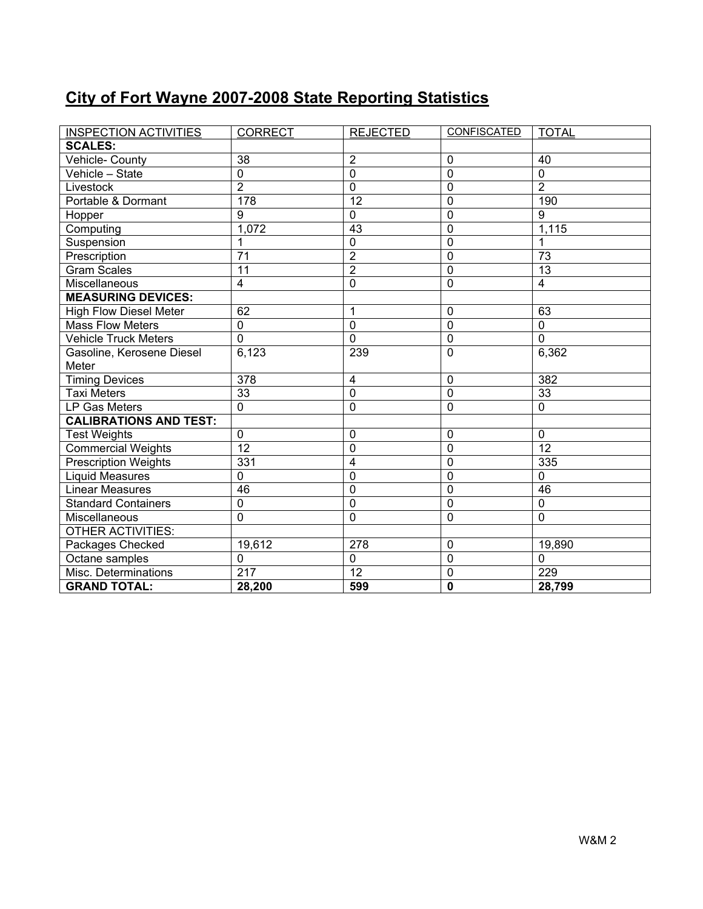### City of Fort Wayne 2007-2008 State Reporting Statistics

| <b>INSPECTION ACTIVITIES</b>  | <b>CORRECT</b>          | <b>REJECTED</b> | <b>CONFISCATED</b> | <b>TOTAL</b>            |
|-------------------------------|-------------------------|-----------------|--------------------|-------------------------|
| <b>SCALES:</b>                |                         |                 |                    |                         |
| Vehicle- County               | 38                      | $\overline{2}$  | 0                  | 40                      |
| Vehicle - State               | $\mathbf 0$             | $\overline{0}$  | $\mathbf 0$        | $\mathbf 0$             |
| Livestock                     | $\overline{2}$          | $\overline{0}$  | $\mathbf 0$        | $\overline{2}$          |
| Portable & Dormant            | 178                     | $\overline{12}$ | $\mathbf 0$        | 190                     |
| Hopper                        | $\overline{9}$          | $\overline{0}$  | $\mathbf 0$        | $\overline{9}$          |
| Computing                     | 1,072                   | 43              | $\mathbf 0$        | 1,115                   |
| Suspension                    | 1                       | $\mathbf 0$     | $\overline{0}$     |                         |
| Prescription                  | 71                      | $\overline{2}$  | $\mathbf 0$        | 73                      |
| <b>Gram Scales</b>            | 11                      | $\overline{2}$  | $\mathbf 0$        | 13                      |
| Miscellaneous                 | $\overline{\mathbf{4}}$ | 0               | $\mathbf 0$        | $\overline{\mathbf{4}}$ |
| <b>MEASURING DEVICES:</b>     |                         |                 |                    |                         |
| <b>High Flow Diesel Meter</b> | 62                      | 1               | 0                  | 63                      |
| <b>Mass Flow Meters</b>       | $\mathbf 0$             | $\pmb{0}$       | $\mathbf 0$        | $\mathbf 0$             |
| <b>Vehicle Truck Meters</b>   | $\mathbf 0$             | $\mathbf 0$     | $\mathbf 0$        | $\mathbf{0}$            |
| Gasoline, Kerosene Diesel     | 6,123                   | 239             | $\overline{0}$     | 6,362                   |
| Meter                         |                         |                 |                    |                         |
| <b>Timing Devices</b>         | $\overline{378}$        | 4               | $\mathbf 0$        | 382                     |
| <b>Taxi Meters</b>            | $\overline{33}$         | 0               | $\overline{0}$     | $\overline{33}$         |
| LP Gas Meters                 | $\mathbf 0$             | 0               | 0                  | $\mathbf 0$             |
| <b>CALIBRATIONS AND TEST:</b> |                         |                 |                    |                         |
| <b>Test Weights</b>           | $\mathbf 0$             | 0               | $\mathbf{0}$       | $\mathbf 0$             |
| <b>Commercial Weights</b>     | $\overline{12}$         | 0               | $\mathbf{0}$       | $\overline{12}$         |
| <b>Prescription Weights</b>   | 331                     | 4               | 0                  | 335                     |
| <b>Liquid Measures</b>        | $\mathbf 0$             | 0               | $\mathbf 0$        | $\mathbf 0$             |
| <b>Linear Measures</b>        | 46                      | 0               | $\mathbf{0}$       | 46                      |
| <b>Standard Containers</b>    | $\mathbf 0$             | $\overline{0}$  | $\mathbf 0$        | $\Omega$                |
| Miscellaneous                 | $\overline{0}$          | $\mathbf 0$     | $\mathbf{0}$       | $\mathbf{0}$            |
| <b>OTHER ACTIVITIES:</b>      |                         |                 |                    |                         |
| Packages Checked              | 19,612                  | 278             | $\mathbf 0$        | 19,890                  |
| Octane samples                | $\mathbf 0$             | $\mathbf 0$     | $\mathbf 0$        | $\Omega$                |
| Misc. Determinations          | $\overline{217}$        | 12              | $\mathbf 0$        | 229                     |
| <b>GRAND TOTAL:</b>           | 28,200                  | 599             | $\mathbf{0}$       | 28,799                  |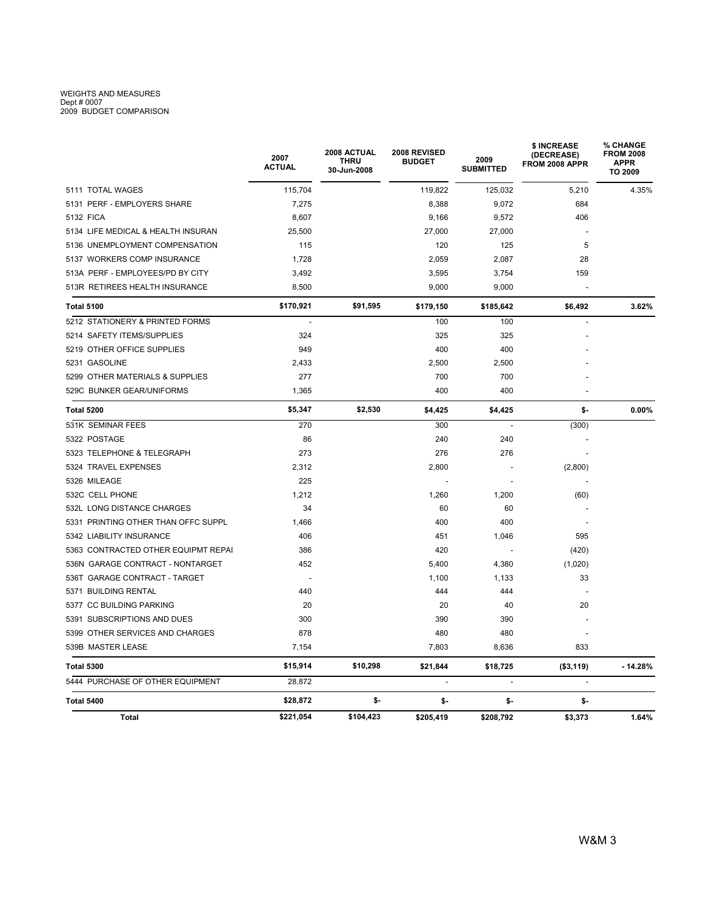# WEIGHTS AND MEASURES<br>Dept # 0007<br>2009 BUDGET COMPARISON

|                                     | 2007<br>ACTUAL | 2008 ACTUAL<br><b>THRU</b><br>30-Jun-2008 | 2008 REVISED<br><b>BUDGET</b> | 2009<br><b>SUBMITTED</b> | <b>\$ INCREASE</b><br>(DECREASE)<br>FROM 2008 APPR | % CHANGE<br><b>FROM 2008</b><br><b>APPR</b><br>TO 2009 |  |
|-------------------------------------|----------------|-------------------------------------------|-------------------------------|--------------------------|----------------------------------------------------|--------------------------------------------------------|--|
| 5111 TOTAL WAGES                    | 115,704        |                                           | 119,822                       | 125,032                  | 5,210                                              | 4.35%                                                  |  |
| 5131 PERF - EMPLOYERS SHARE         | 7,275          |                                           | 8,388                         | 9,072                    | 684                                                |                                                        |  |
| 5132 FICA                           | 8,607          |                                           | 9,166                         | 9,572                    | 406                                                |                                                        |  |
| 5134 LIFE MEDICAL & HEALTH INSURAN  | 25,500         |                                           | 27,000                        | 27,000                   |                                                    |                                                        |  |
| 5136 UNEMPLOYMENT COMPENSATION      | 115            |                                           | 120                           | 125                      | 5                                                  |                                                        |  |
| 5137 WORKERS COMP INSURANCE         | 1,728          |                                           | 2,059                         | 2,087                    | 28                                                 |                                                        |  |
| 513A PERF - EMPLOYEES/PD BY CITY    | 3,492          |                                           | 3,595                         | 3,754                    | 159                                                |                                                        |  |
| 513R RETIREES HEALTH INSURANCE      | 8,500          |                                           | 9,000                         | 9,000                    |                                                    |                                                        |  |
| <b>Total 5100</b>                   | \$170,921      | \$91,595                                  | \$179,150                     | \$185,642                | \$6,492                                            | 3.62%                                                  |  |
| 5212 STATIONERY & PRINTED FORMS     | $\overline{a}$ |                                           | 100                           | 100                      |                                                    |                                                        |  |
| 5214 SAFETY ITEMS/SUPPLIES          | 324            |                                           | 325                           | 325                      |                                                    |                                                        |  |
| 5219 OTHER OFFICE SUPPLIES          | 949            |                                           | 400                           | 400                      |                                                    |                                                        |  |
| 5231 GASOLINE                       | 2,433          |                                           | 2,500                         | 2,500                    |                                                    |                                                        |  |
| 5299 OTHER MATERIALS & SUPPLIES     | 277            |                                           | 700                           | 700                      |                                                    |                                                        |  |
| 529C BUNKER GEAR/UNIFORMS           | 1,365          |                                           | 400                           | 400                      |                                                    |                                                        |  |
| Total 5200                          | \$5,347        | \$2,530                                   | \$4,425                       | \$4,425                  | \$-                                                | $0.00\%$                                               |  |
| 531K SEMINAR FEES                   | 270            |                                           | 300                           |                          | (300)                                              |                                                        |  |
| 5322 POSTAGE                        | 86             |                                           | 240                           | 240                      |                                                    |                                                        |  |
| 5323 TELEPHONE & TELEGRAPH          | 273            |                                           | 276                           | 276                      |                                                    |                                                        |  |
| 5324 TRAVEL EXPENSES                | 2,312          |                                           | 2,800                         |                          | (2,800)                                            |                                                        |  |
| 5326 MILEAGE                        | 225            |                                           |                               |                          |                                                    |                                                        |  |
| 532C CELL PHONE                     | 1,212          |                                           | 1,260                         | 1,200                    | (60)                                               |                                                        |  |
| 532L LONG DISTANCE CHARGES          | 34             |                                           | 60                            | 60                       |                                                    |                                                        |  |
| 5331 PRINTING OTHER THAN OFFC SUPPL | 1,466          |                                           | 400                           | 400                      |                                                    |                                                        |  |
| 5342 LIABILITY INSURANCE            | 406            |                                           | 451                           | 1,046                    | 595                                                |                                                        |  |
| 5363 CONTRACTED OTHER EQUIPMT REPAI | 386            |                                           | 420                           |                          | (420)                                              |                                                        |  |
| 536N GARAGE CONTRACT - NONTARGET    | 452            |                                           | 5,400                         | 4,380                    | (1,020)                                            |                                                        |  |
| 536T GARAGE CONTRACT - TARGET       |                |                                           | 1,100                         | 1,133                    | 33                                                 |                                                        |  |
| 5371 BUILDING RENTAL                | 440            |                                           | 444                           | 444                      |                                                    |                                                        |  |
| 5377 CC BUILDING PARKING            | 20             |                                           | 20                            | 40                       | 20                                                 |                                                        |  |
| 5391 SUBSCRIPTIONS AND DUES         | 300            |                                           | 390                           | 390                      |                                                    |                                                        |  |
| 5399 OTHER SERVICES AND CHARGES     | 878            |                                           | 480                           | 480                      |                                                    |                                                        |  |
| 539B MASTER LEASE                   | 7,154          |                                           | 7,803                         | 8,636                    | 833                                                |                                                        |  |
| <b>Total 5300</b>                   | \$15,914       | \$10,298                                  | \$21,844                      | \$18,725                 | ( \$3, 119)                                        | $-14.28%$                                              |  |
| 5444 PURCHASE OF OTHER EQUIPMENT    | 28.872         |                                           |                               | $\overline{\phantom{a}}$ |                                                    |                                                        |  |
| <b>Total 5400</b>                   | \$28,872       | \$-                                       | \$-                           | \$-                      | \$-                                                |                                                        |  |
| Total                               | \$221,054      | \$104,423                                 | \$205,419                     | \$208,792                | \$3,373                                            | 1.64%                                                  |  |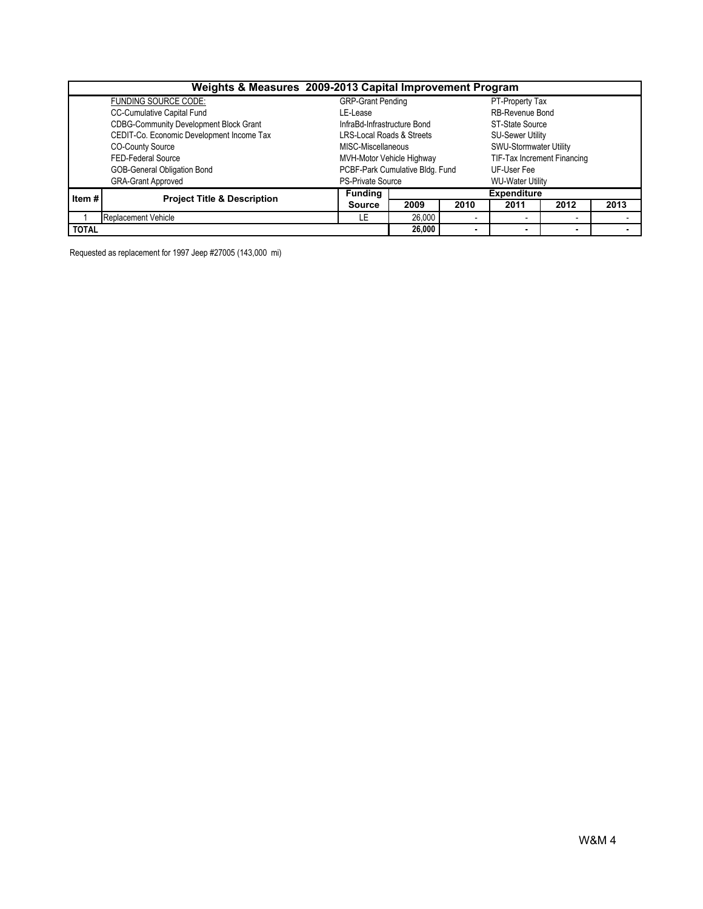| Weights & Measures 2009-2013 Capital Improvement Program |                                               |                                      |        |                               |                         |                          |      |  |  |  |
|----------------------------------------------------------|-----------------------------------------------|--------------------------------------|--------|-------------------------------|-------------------------|--------------------------|------|--|--|--|
|                                                          | FUNDING SOURCE CODE:                          | <b>GRP-Grant Pending</b>             |        | PT-Property Tax               |                         |                          |      |  |  |  |
|                                                          | <b>CC-Cumulative Capital Fund</b>             | LE-Lease                             |        | RB-Revenue Bond               |                         |                          |      |  |  |  |
|                                                          | <b>CDBG-Community Development Block Grant</b> | InfraBd-Infrastructure Bond          |        | ST-State Source               |                         |                          |      |  |  |  |
|                                                          | CEDIT-Co. Economic Development Income Tax     | <b>LRS-Local Roads &amp; Streets</b> |        |                               | <b>SU-Sewer Utility</b> |                          |      |  |  |  |
|                                                          | <b>CO-County Source</b>                       | MISC-Miscellaneous                   |        | <b>SWU-Stormwater Utility</b> |                         |                          |      |  |  |  |
|                                                          | FED-Federal Source                            | MVH-Motor Vehicle Highway            |        | TIF-Tax Increment Financing   |                         |                          |      |  |  |  |
|                                                          | GOB-General Obligation Bond                   | PCBF-Park Cumulative Bldg. Fund      |        | UF-User Fee                   |                         |                          |      |  |  |  |
|                                                          | <b>GRA-Grant Approved</b>                     | <b>PS-Private Source</b>             |        | <b>WU-Water Utility</b>       |                         |                          |      |  |  |  |
| Item#                                                    | <b>Project Title &amp; Description</b>        | <b>Funding</b>                       |        |                               | <b>Expenditure</b>      |                          |      |  |  |  |
|                                                          |                                               | <b>Source</b>                        | 2009   | 2010                          | 2011                    | 2012                     | 2013 |  |  |  |
|                                                          | <b>Replacement Vehicle</b>                    | LE                                   | 26,000 |                               |                         | $\overline{\phantom{a}}$ |      |  |  |  |
| <b>TOTAL</b>                                             |                                               |                                      |        | $\blacksquare$                |                         | $\blacksquare$           |      |  |  |  |

Requested as replacement for 1997 Jeep #27005 (143,000 mi)